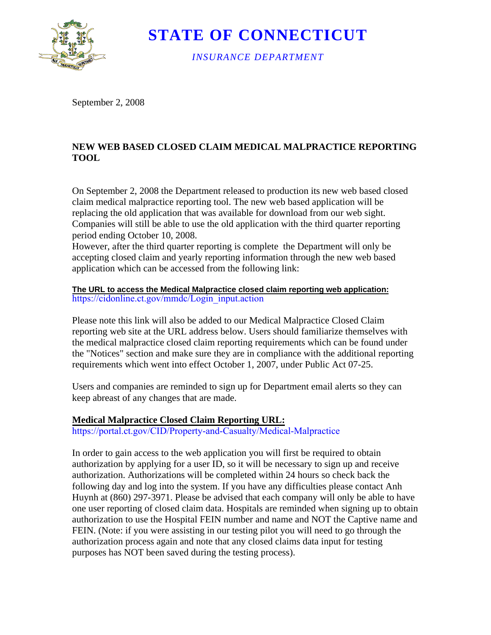

**STATE OF CONNECTICUT** 

*INSURANCE DEPARTMENT* 

September 2, 2008

## **NEW WEB BASED CLOSED CLAIM MEDICAL MALPRACTICE REPORTING TOOL**

On September 2, 2008 the Department released to production its new web based closed claim medical malpractice reporting tool. The new web based application will be replacing the old application that was available for download from our web sight. Companies will still be able to use the old application with the third quarter reporting period ending October 10, 2008.

However, after the third quarter reporting is complete the Department will only be accepting closed claim and yearly reporting information through the new web based application which can be accessed from the following link:

## **The URL to access the Medical Malpractice closed claim reporting web application:** [https://cidonline.ct.gov/mmdc/Login\\_input.action](https://cidonline.ct.gov/mmdc/Login_input.action)

Please note this link will also be added to our Medical Malpractice Closed Claim reporting web site at the URL address below. Users should familiarize themselves with the medical malpractice closed claim reporting requirements which can be found under the "Notices" section and make sure they are in compliance with the additional reporting requirements which went into effect October 1, 2007, under Public Act 07-25.

Users and companies are reminded to sign up for Department email alerts so they can keep abreast of any changes that are made.

## **Medical Malpractice Closed Claim Reporting URL:**

<https://portal.ct.gov/CID/Property-and-Casualty/Medical-Malpractice>

In order to gain access to the web application you will first be required to obtain authorization by applying for a user ID, so it will be necessary to sign up and receive authorization. Authorizations will be completed within 24 hours so check back the following day and log into the system. If you have any difficulties please contact Anh Huynh at (860) 297-3971. Please be advised that each company will only be able to have one user reporting of closed claim data. Hospitals are reminded when signing up to obtain authorization to use the Hospital FEIN number and name and NOT the Captive name and FEIN. (Note: if you were assisting in our testing pilot you will need to go through the authorization process again and note that any closed claims data input for testing purposes has NOT been saved during the testing process).